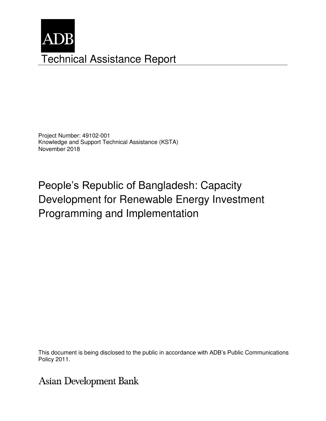

Project Number: 49102-001 Knowledge and Support Technical Assistance (KSTA) November 2018

People's Republic of Bangladesh: Capacity Development for Renewable Energy Investment Programming and Implementation

This document is being disclosed to the public in accordance with ADB's Public Communications members, Board of Directors, Management, or staff, and may be preliminary in nature. Policy 2011.

Asian Development Bank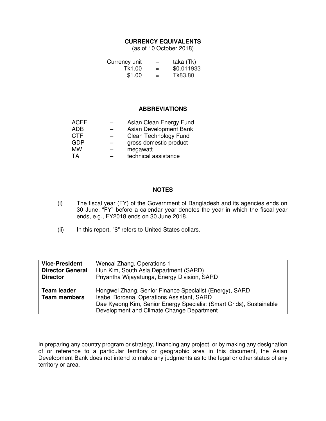### **CURRENCY EQUIVALENTS**

(as of 10 October 2018)

| Currency unit | $\overline{\phantom{m}}$ | taka (Tk)  |
|---------------|--------------------------|------------|
| Tk1.00        | $=$                      | \$0.011933 |
| \$1.00        | $=$                      | Tk83.80    |

### **ABBREVIATIONS**

| <b>ACEF</b> | Asian Clean Energy Fund |
|-------------|-------------------------|
| <b>ADB</b>  | Asian Development Bank  |
| <b>CTF</b>  | Clean Technology Fund   |
| <b>GDP</b>  | gross domestic product  |
| <b>MW</b>   | megawatt                |
| TA          | technical assistance    |
|             |                         |

### **NOTES**

- (i) The fiscal year (FY) of the Government of Bangladesh and its agencies ends on 30 June. "FY" before a calendar year denotes the year in which the fiscal year ends, e.g., FY2018 ends on 30 June 2018.
- (ii) In this report, "\$" refers to United States dollars.

| Hun Kim, South Asia Department (SARD)                                                                                                                                                                                     |
|---------------------------------------------------------------------------------------------------------------------------------------------------------------------------------------------------------------------------|
|                                                                                                                                                                                                                           |
| Priyantha Wijayatunga, Energy Division, SARD                                                                                                                                                                              |
| Hongwei Zhang, Senior Finance Specialist (Energy), SARD<br>Isabel Borcena, Operations Assistant, SARD<br>Dae Kyeong Kim, Senior Energy Specialist (Smart Grids), Sustainable<br>Development and Climate Change Department |
|                                                                                                                                                                                                                           |

In preparing any country program or strategy, financing any project, or by making any designation of or reference to a particular territory or geographic area in this document, the Asian Development Bank does not intend to make any judgments as to the legal or other status of any territory or area.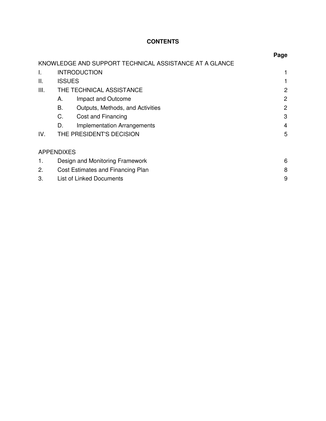# **CONTENTS**

|      |                   |                                                        | Page           |
|------|-------------------|--------------------------------------------------------|----------------|
|      |                   | KNOWLEDGE AND SUPPORT TECHNICAL ASSISTANCE AT A GLANCE |                |
| I.   |                   | <b>INTRODUCTION</b>                                    |                |
| Ш.   | <b>ISSUES</b>     |                                                        |                |
| III. |                   | THE TECHNICAL ASSISTANCE                               | 2              |
|      | А.                | Impact and Outcome                                     | 2              |
|      | В.                | Outputs, Methods, and Activities                       | 2              |
|      | C.                | Cost and Financing                                     | 3              |
|      | D.                | <b>Implementation Arrangements</b>                     | $\overline{4}$ |
| IV.  |                   | THE PRESIDENT'S DECISION                               | 5              |
|      | <b>APPENDIXES</b> |                                                        |                |
| 1.   |                   | Design and Monitoring Framework                        | 6              |
| 2.   |                   | Cost Estimates and Financing Plan                      | 8              |
| 3.   |                   | <b>List of Linked Documents</b>                        | 9              |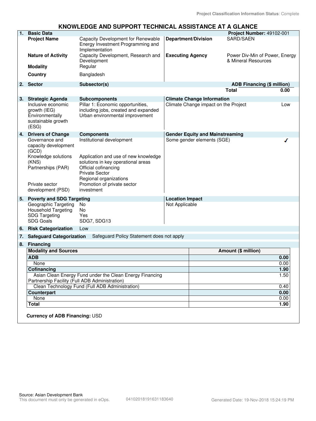## **KNOWLEDGE AND SUPPORT TECHNICAL ASSISTANCE AT A GLANCE**

| 1. | <b>Basic Data</b>                                                                              |                                                                                                               |                                        | Project Number: 49102-001                             |      |
|----|------------------------------------------------------------------------------------------------|---------------------------------------------------------------------------------------------------------------|----------------------------------------|-------------------------------------------------------|------|
|    | <b>Project Name</b>                                                                            | Capacity Development for Renewable<br>Energy Investment Programming and<br>Implementation                     | <b>Department/Division</b>             | SARD/SAEN                                             |      |
|    | <b>Nature of Activity</b>                                                                      | Capacity Development, Research and<br>Development                                                             | <b>Executing Agency</b>                | Power Div-Min of Power, Energy<br>& Mineral Resources |      |
|    | <b>Modality</b>                                                                                | Regular                                                                                                       |                                        |                                                       |      |
|    | <b>Country</b>                                                                                 | Bangladesh                                                                                                    |                                        |                                                       |      |
|    | 2. Sector                                                                                      | Subsector(s)                                                                                                  |                                        | <b>ADB Financing (\$ million)</b>                     |      |
|    |                                                                                                |                                                                                                               |                                        | <b>Total</b>                                          | 0.00 |
| 3. | <b>Strategic Agenda</b>                                                                        | <b>Subcomponents</b>                                                                                          | <b>Climate Change Information</b>      |                                                       |      |
|    | Inclusive economic<br>growth (IEG)<br>Environmentally<br>sustainable growth<br>(ESG)           | Pillar 1: Economic opportunities,<br>including jobs, created and expanded<br>Urban environmental improvement  | Climate Change impact on the Project   |                                                       | Low  |
| 4. | <b>Drivers of Change</b>                                                                       | <b>Components</b>                                                                                             | <b>Gender Equity and Mainstreaming</b> |                                                       |      |
|    | Governance and<br>capacity development<br>(GCD)<br>Knowledge solutions                         | Institutional development<br>Application and use of new knowledge                                             | Some gender elements (SGE)             |                                                       |      |
|    | (KNS)<br>Partnerships (PAR)                                                                    | solutions in key operational areas<br>Official cofinancing<br><b>Private Sector</b><br>Regional organizations |                                        |                                                       |      |
|    | Private sector<br>development (PSD)                                                            | Promotion of private sector<br>investment                                                                     |                                        |                                                       |      |
| 5. | <b>Poverty and SDG Targeting</b>                                                               |                                                                                                               | <b>Location Impact</b>                 |                                                       |      |
|    | Geographic Targeting<br><b>Household Targeting</b><br><b>SDG Targeting</b><br><b>SDG Goals</b> | No<br>No<br>Yes<br>SDG7, SDG13                                                                                | Not Applicable                         |                                                       |      |
| 6. | <b>Risk Categorization</b>                                                                     | Low                                                                                                           |                                        |                                                       |      |
| 7. | <b>Safeguard Categorization</b>                                                                | Safeguard Policy Statement does not apply                                                                     |                                        |                                                       |      |
| 8. | <b>Financing</b>                                                                               |                                                                                                               |                                        |                                                       |      |
|    | <b>Modality and Sources</b>                                                                    |                                                                                                               |                                        | Amount (\$ million)                                   |      |
|    | <b>ADB</b>                                                                                     |                                                                                                               |                                        |                                                       | 0.00 |
|    | None                                                                                           |                                                                                                               |                                        |                                                       | 0.00 |
|    | Cofinancing                                                                                    |                                                                                                               |                                        |                                                       | 1.90 |
|    | Partnership Facility (Full ADB Administration)                                                 | Asian Clean Energy Fund under the Clean Energy Financing                                                      |                                        |                                                       | 1.50 |
|    |                                                                                                | Clean Technology Fund (Full ADB Administration)                                                               |                                        |                                                       | 0.40 |
|    | Counterpart                                                                                    |                                                                                                               |                                        |                                                       | 0.00 |
|    | None                                                                                           |                                                                                                               |                                        |                                                       | 0.00 |
|    | <b>Total</b>                                                                                   |                                                                                                               |                                        |                                                       | 1.90 |
|    | <b>Currency of ADB Financing: USD</b>                                                          |                                                                                                               |                                        |                                                       |      |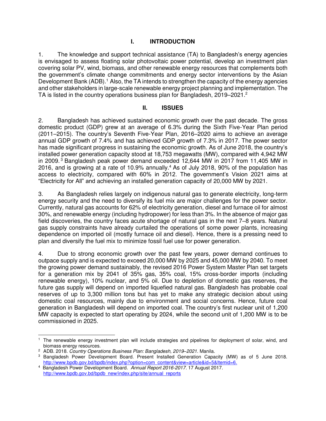## **I. INTRODUCTION**

1. The knowledge and support technical assistance (TA) to Bangladesh's energy agencies is envisaged to assess floating solar photovoltaic power potential, develop an investment plan covering solar PV, wind, biomass, and other renewable energy resources that complements both the government's climate change commitments and energy sector interventions by the Asian Development Bank (ADB).<sup>1</sup> Also, the TA intends to strengthen the capacity of the energy agencies and other stakeholders in large-scale renewable energy project planning and implementation. The TA is listed in the country operations business plan for Bangladesh, 2019–2021.<sup>2</sup>

## **II. ISSUES**

2. Bangladesh has achieved sustained economic growth over the past decade. The gross domestic product (GDP) grew at an average of 6.3% during the Sixth Five-Year Plan period (2011–2015). The country's Seventh Five-Year Plan, 2016–2020 aims to achieve an average annual GDP growth of 7.4% and has achieved GDP growth of 7.3% in 2017. The power sector has made significant progress in sustaining the economic growth. As of June 2018, the country's installed power generation capacity stood at 18,753 megawatts (MW), compared with 4,942 MW in 2009.<sup>3</sup> Bangladesh peak power demand exceeded 12,644 MW in 2017 from 11,405 MW in 2016, and is growing at a rate of 10.9% annually.<sup>4</sup> As of July 2018, 90% of the population has access to electricity, compared with 60% in 2012. The government's Vision 2021 aims at "Electricity for All" and achieving an installed generation capacity of 20,000 MW by 2021.

3. As Bangladesh relies largely on indigenous natural gas to generate electricity, long-term energy security and the need to diversify its fuel mix are major challenges for the power sector. Currently, natural gas accounts for 62% of electricity generation, diesel and furnace oil for almost 30%, and renewable energy (including hydropower) for less than 3%. In the absence of major gas field discoveries, the country faces acute shortage of natural gas in the next 7–8 years. Natural gas supply constraints have already curtailed the operations of some power plants, increasing dependence on imported oil (mostly furnace oil and diesel). Hence, there is a pressing need to plan and diversify the fuel mix to minimize fossil fuel use for power generation.

4. Due to strong economic growth over the past few years, power demand continues to outpace supply and is expected to exceed 20,000 MW by 2025 and 45,000 MW by 2040. To meet the growing power demand sustainably, the revised 2016 Power System Master Plan set targets for a generation mix by 2041 of 35% gas, 35% coal, 15% cross-border imports (including renewable energy), 10% nuclear, and 5% oil. Due to depletion of domestic gas reserves, the future gas supply will depend on imported liquefied natural gas. Bangladesh has probable coal reserves of up to 3,300 million tons but has yet to make any strategic decision about using domestic coal resources, mainly due to environment and social concerns. Hence, future coal generation in Bangladesh will depend on imported coal. The country's first nuclear unit of 1,200 MW capacity is expected to start operating by 2024, while the second unit of 1,200 MW is to be commissioned in 2025.

 $\overline{a}$ 1 The renewable energy investment plan will include strategies and pipelines for deployment of solar, wind, and biomass energy resources.

<sup>2</sup> ADB. 2018. *Country Operations Business Plan: Bangladesh, 2019–2021*. Manila.

<sup>3</sup> Bangladesh Power Development Board. Present Installed Generation Capacity (MW) as of 5 June 2018. [http://www.bpdb.gov.bd/bpdb/index.php?option=com\\_content&view=article&id=5&Itemid=6.](http://www.bpdb.gov.bd/bpdb/index.php?option=com_content&view=article&id=5&Itemid=6)

<sup>4</sup> Bangladesh Power Development Board. *Annual Report 2016-2017.* 17 August 2017. http://www.bpdb.gov.bd/bpdb\_new/index.php/site/annual\_reports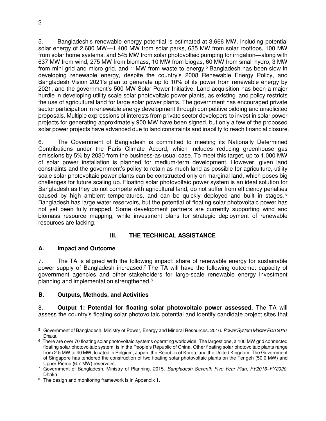5. Bangladesh's renewable energy potential is estimated at 3,666 MW, including potential solar energy of 2,680 MW—1,400 MW from solar parks, 635 MW from solar rooftops, 100 MW from solar home systems, and 545 MW from solar photovoltaic pumping for irrigation—along with 637 MW from wind, 275 MW from biomass, 10 MW from biogas, 60 MW from small hydro, 3 MW from mini grid and micro grid, and 1 MW from waste to energy.<sup>5</sup> Bangladesh has been slow in developing renewable energy, despite the country's 2008 Renewable Energy Policy, and Bangladesh Vision 2021's plan to generate up to 10% of its power from renewable energy by 2021, and the government's 500 MW Solar Power Initiative. Land acquisition has been a major hurdle in developing utility scale solar photovoltaic power plants, as existing land policy restricts the use of agricultural land for large solar power plants. The government has encouraged private sector participation in renewable energy development through competitive bidding and unsolicited proposals. Multiple expressions of interests from private sector developers to invest in solar power projects for generating approximately 900 MW have been signed, but only a few of the proposed solar power projects have advanced due to land constraints and inability to reach financial closure.

6. The Government of Bangladesh is committed to meeting its Nationally Determined Contributions under the Paris Climate Accord, which includes reducing greenhouse gas emissions by 5% by 2030 from the business-as-usual case. To meet this target, up to 1,000 MW of solar power installation is planned for medium-term development. However, given land constraints and the government's policy to retain as much land as possible for agriculture, utility scale solar photovoltaic power plants can be constructed only on marginal land, which poses big challenges for future scaling up. Floating solar photovoltaic power system is an ideal solution for Bangladesh as they do not compete with agricultural land, do not suffer from efficiency penalties caused by high ambient temperatures, and can be quickly deployed and built in stages. <sup>6</sup> Bangladesh has large water reservoirs, but the potential of floating solar photovoltaic power has not yet been fully mapped. Some development partners are currently supporting wind and biomass resource mapping, while investment plans for strategic deployment of renewable resources are lacking.

## **III. THE TECHNICAL ASSISTANCE**

## **A. Impact and Outcome**

7. The TA is aligned with the following impact: share of renewable energy for sustainable power supply of Bangladesh increased.<sup>7</sup> The TA will have the following outcome: capacity of government agencies and other stakeholders for large-scale renewable energy investment planning and implementation strengthened.<sup>8</sup>

## **B. Outputs, Methods, and Activities**

8. **Output 1: Potential for floating solar photovoltaic power assessed.** The TA will assess the country's floating solar photovoltaic potential and identify candidate project sites that

 5 Government of Bangladesh, Ministry of Power, Energy and Mineral Resources. 2016. *Power System Master Plan 2016*. Dhaka.

 $^6\,$  There are over 70 floating solar photovoltaic systems operating worldwide. The largest one, a 100 MW grid connected floating solar photovoltaic system, is in the People's Republic of China. Other floating solar photovoltaic plants range from 2.5 MW to 40 MW, located in Belgium, Japan, the Republic of Korea, and the United Kingdom. The Government of Singapore has tendered the construction of two floating solar photovoltaic plants on the Tengeh (50.0 MW) and Upper Pierce (6.7 MW) reservoirs.

<sup>7</sup> Government of Bangladesh, Ministry of Planning. 2015. *Bangladesh Seventh Five-Year Plan, FY2016–FY2020.* Dhaka.

<sup>&</sup>lt;sup>8</sup> The design and monitoring framework is in Appendix 1.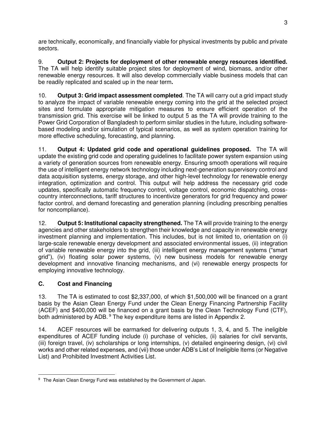are technically, economically, and financially viable for physical investments by public and private sectors.

9. **Output 2: Projects for deployment of other renewable energy resources identified.** The TA will help identify suitable project sites for deployment of wind, biomass, and/or other renewable energy resources. It will also develop commercially viable business models that can be readily replicated and scaled up in the near term**.** 

10. **Output 3: Grid impact assessment completed**. The TA will carry out a grid impact study to analyze the impact of variable renewable energy coming into the grid at the selected project sites and formulate appropriate mitigation measures to ensure efficient operation of the transmission grid. This exercise will be linked to output 5 as the TA will provide training to the Power Grid Corporation of Bangladesh to perform similar studies in the future, including softwarebased modeling and/or simulation of typical scenarios, as well as system operation training for more effective scheduling, forecasting, and planning.

11. **Output 4: Updated grid code and operational guidelines proposed.** The TA will update the existing grid code and operating guidelines to facilitate power system expansion using a variety of generation sources from renewable energy. Ensuring smooth operations will require the use of intelligent energy network technology including next-generation supervisory control and data acquisition systems, energy storage, and other high-level technology for renewable energy integration, optimization and control. This output will help address the necessary grid code updates, specifically automatic frequency control, voltage control, economic dispatching, crosscountry interconnections, tariff structures to incentivize generators for grid frequency and power factor control, and demand forecasting and generation planning (including prescribing penalties for noncompliance).

12. **Output 5: Institutional capacity strengthened.** The TA will provide training to the energy agencies and other stakeholders to strengthen their knowledge and capacity in renewable energy investment planning and implementation. This includes, but is not limited to, orientation on (i) large-scale renewable energy development and associated environmental issues, (ii) integration of variable renewable energy into the grid, (iii) intelligent energy management systems ("smart grid"), (iv) floating solar power systems, (v) new business models for renewable energy development and innovative financing mechanisms, and (vi) renewable energy prospects for employing innovative technology.

# **C. Cost and Financing**

13. The TA is estimated to cost \$2,337,000, of which \$1,500,000 will be financed on a grant basis by the Asian Clean Energy Fund under the Clean Energy Financing Partnership Facility (ACEF) and \$400,000 will be financed on a grant basis by the Clean Technology Fund (CTF), both administered by ADB.<sup>9</sup> The key expenditure items are listed in Appendix 2.

14. ACEF resources will be earmarked for delivering outputs 1, 3, 4, and 5. The ineligible expenditures of ACEF funding include (i) purchase of vehicles, (ii) salaries for civil servants, (iii) foreign travel, (iv) scholarships or long internships, (v) detailed engineering design, (vi) civil works and other related expenses, and (vii) those under ADB's List of Ineligible Items (or Negative List) and Prohibited Investment Activities List.

 $\overline{a}$ <sup>9</sup> The Asian Clean Energy Fund was established by the Government of Japan.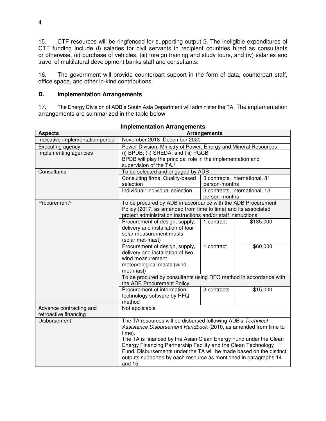15. CTF resources will be ringfenced for supporting output 2. The ineligible expenditures of CTF funding include (i) salaries for civil servants in recipient countries hired as consultants or otherwise, (ii) purchase of vehicles, (iii) foreign training and study tours, and (iv) salaries and travel of multilateral development banks staff and consultants.

16. The government will provide counterpart support in the form of data, counterpart staff, office space, and other in-kind contributions.

## **D. Implementation Arrangements**

17. The Energy Division of ADB's South Asia Department will administer the TA. The implementation arrangements are summarized in the table below.

| piccaon Anangements              |                                                                           |               |                                |
|----------------------------------|---------------------------------------------------------------------------|---------------|--------------------------------|
| <b>Aspects</b>                   | <b>Arrangements</b>                                                       |               |                                |
| Indicative implementation period | November 2018-December 2020                                               |               |                                |
| Executing agency                 | Power Division, Ministry of Power, Energy and Mineral Resources           |               |                                |
| Implementing agencies            | (i) BPDB; (ii) SREDA; and (iii) PGCB                                      |               |                                |
|                                  | BPDB will play the principal role in the implementation and               |               |                                |
|                                  | supervision of the TA. <sup>a</sup>                                       |               |                                |
| Consultants                      | To be selected and engaged by ADB                                         |               |                                |
|                                  | Consulting firms: Quality-based                                           |               | 3 contracts, international, 81 |
|                                  | selection                                                                 | person-months |                                |
|                                  | Individual: individual selection                                          |               | 3 contracts, international, 13 |
|                                  |                                                                           | person-months |                                |
| Procurement <sup>b</sup>         | To be procured by ADB in accordance with the ADB Procurement              |               |                                |
|                                  | Policy (2017, as amended from time to time) and its associated            |               |                                |
|                                  | project administration instructions and/or staff instructions             |               |                                |
|                                  | Procurement of design, supply,                                            | 1 contract    | \$135,000                      |
|                                  | delivery and installation of four                                         |               |                                |
|                                  | solar measurement masts                                                   |               |                                |
|                                  | (solar met-mast)                                                          |               |                                |
|                                  | Procurement of design, supply,                                            | 1 contract    | \$60,000                       |
|                                  | delivery and installation of two                                          |               |                                |
|                                  | wind measurement                                                          |               |                                |
|                                  | meteorological masts (wind                                                |               |                                |
|                                  | met-mast)                                                                 |               |                                |
|                                  | To be procured by consultants using RFQ method in accordance with         |               |                                |
|                                  | the ADB Procurement Policy<br>Procurement of information                  |               |                                |
|                                  | technology software by RFQ                                                | 3 contracts   | \$15,000                       |
|                                  | method                                                                    |               |                                |
| Advance contracting and          | Not applicable                                                            |               |                                |
| retroactive financing            |                                                                           |               |                                |
| Disbursement                     | The TA resources will be disbursed following ADB's Technical              |               |                                |
|                                  |                                                                           |               |                                |
|                                  | Assistance Disbursement Handbook (2010, as amended from time to<br>time). |               |                                |
|                                  | The TA is financed by the Asian Clean Energy Fund under the Clean         |               |                                |
|                                  | Energy Financing Partnership Facility and the Clean Technology            |               |                                |
|                                  | Fund. Disbursements under the TA will be made based on the distinct       |               |                                |
|                                  | outputs supported by each resource as mentioned in paragraphs 14          |               |                                |
|                                  | and 15.                                                                   |               |                                |

| <b>Implementation Arrangements</b> |  |
|------------------------------------|--|
|------------------------------------|--|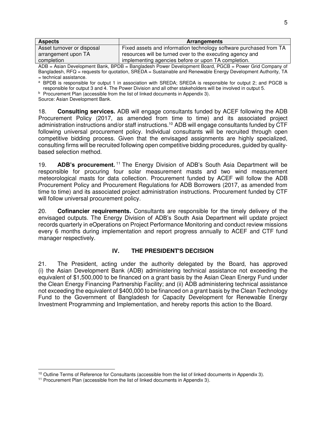| <b>Aspects</b>             | <b>Arrangements</b>                                                |
|----------------------------|--------------------------------------------------------------------|
| Asset turnover or disposal | Fixed assets and information technology software purchased from TA |
| arrangement upon TA        | resources will be turned over to the executing agency and          |
| completion                 | implementing agencies before or upon TA completion.                |

ADB = Asian Development Bank, BPDB = Bangladesh Power Development Board, PGCB = Power Grid Company of Bangladesh, RFQ = requests for quotation, SREDA = Sustainable and Renewable Energy Development Authority, TA = technical assistance.

<sup>a</sup> BPDB is responsible for output 1 in association with SREDA; SREDA is responsible for output 2; and PGCB is responsible for output 3 and 4. The Power Division and all other stakeholders will be involved in output 5.

<sup>b</sup> Procurement Plan (accessible from the list of linked documents in Appendix 3). Source: Asian Development Bank.

18. **Consulting services.** ADB will engage consultants funded by ACEF following the ADB Procurement Policy (2017, as amended from time to time) and its associated project administration instructions and/or staff instructions.<sup>10</sup> ADB will engage consultants funded by CTF following universal procurement policy. Individual consultants will be recruited through open competitive bidding process. Given that the envisaged assignments are highly specialized, consulting firms will be recruited following open competitive bidding procedures, guided by qualitybased selection method.

19. **ADB's procurement.** <sup>11</sup> The Energy Division of ADB's South Asia Department will be responsible for procuring four solar measurement masts and two wind measurement meteorological masts for data collection. Procurement funded by ACEF will follow the ADB Procurement Policy and Procurement Regulations for ADB Borrowers (2017, as amended from time to time) and its associated project administration instructions. Procurement funded by CTF will follow universal procurement policy.

20. **Cofinancier requirements.** Consultants are responsible for the timely delivery of the envisaged outputs. The Energy Division of ADB's South Asia Department will update project records quarterly in eOperations on Project Performance Monitoring and conduct review missions every 6 months during implementation and report progress annually to ACEF and CTF fund manager respectively.

## **IV. THE PRESIDENT'S DECISION**

21. The President, acting under the authority delegated by the Board, has approved (i) the Asian Development Bank (ADB) administering technical assistance not exceeding the equivalent of \$1,500,000 to be financed on a grant basis by the Asian Clean Energy Fund under the Clean Energy Financing Partnership Facility; and (ii) ADB administering technical assistance not exceeding the equivalent of \$400,000 to be financed on a grant basis by the Clean Technology Fund to the Government of Bangladesh for Capacity Development for Renewable Energy Investment Programming and Implementation, and hereby reports this action to the Board.

 $\overline{a}$ <sup>10</sup> Outline Terms of Reference for Consultants (accessible from the list of linked documents in Appendix 3).

<sup>11</sup> Procurement Plan (accessible from the list of linked documents in Appendix 3).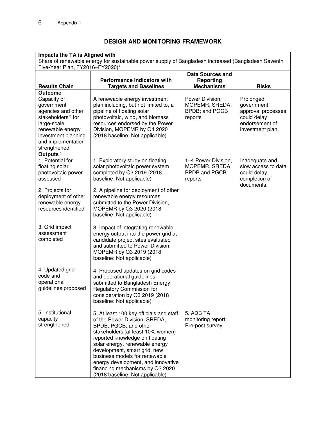# **DESIGN AND MONITORING FRAMEWORK**

| Impacts the TA is Aligned with<br>Five-Year Plan, FY2016-FY2020) <sup>a</sup>                                                                                                                      | Share of renewable energy for sustainable power supply of Bangladesh increased (Bangladesh Seventh                                                                                                                                                                                                                                                                                      |                                                                          |                                                                                                    |
|----------------------------------------------------------------------------------------------------------------------------------------------------------------------------------------------------|-----------------------------------------------------------------------------------------------------------------------------------------------------------------------------------------------------------------------------------------------------------------------------------------------------------------------------------------------------------------------------------------|--------------------------------------------------------------------------|----------------------------------------------------------------------------------------------------|
| <b>Results Chain</b>                                                                                                                                                                               | <b>Performance Indicators with</b><br><b>Targets and Baselines</b>                                                                                                                                                                                                                                                                                                                      | <b>Data Sources and</b><br>Reporting<br><b>Mechanisms</b>                | <b>Risks</b>                                                                                       |
| <b>Outcome</b><br>Capacity of<br>government<br>agencies and other<br>stakeholders <sup>b</sup> for<br>large-scale<br>renewable energy<br>investment planning<br>and implementation<br>strengthened | A renewable energy investment<br>plan including, but not limited to, a<br>pipeline of floating solar<br>photovoltaic, wind, and biomass<br>resources endorsed by the Power<br>Division, MOPEMR by Q4 2020<br>(2018 baseline: Not applicable)                                                                                                                                            | Power Division,<br>MOPEMR; SREDA;<br>BPDB; and PGCB<br>reports           | Prolonged<br>government<br>approval processes<br>could delay<br>endorsement of<br>investment plan. |
| Outputs <sup>c</sup><br>1. Potential for<br>floating solar<br>photovoltaic power<br>assessed                                                                                                       | 1. Exploratory study on floating<br>solar photovoltaic power system<br>completed by Q3 2019 (2018<br>baseline: Not applicable)                                                                                                                                                                                                                                                          | 1-4 Power Division,<br>MOPEMR, SREDA,<br><b>BPDB and PGCB</b><br>reports | Inadequate and<br>slow access to data<br>could delay<br>completion of<br>documents.                |
| 2. Projects for<br>deployment of other<br>renewable energy<br>resources identified                                                                                                                 | 2. A pipeline for deployment of other<br>renewable energy resources<br>submitted to the Power Division,<br>MOPEMR by Q3 2020 (2018<br>baseline: Not applicable)                                                                                                                                                                                                                         |                                                                          |                                                                                                    |
| 3. Grid impact<br>assessment<br>completed                                                                                                                                                          | 3. Impact of integrating renewable<br>energy output into the power grid at<br>candidate project sites evaluated<br>and submitted to Power Division,<br>MOPEMR by Q3 2019 (2018<br>baseline: Not applicable)                                                                                                                                                                             |                                                                          |                                                                                                    |
| 4. Updated grid<br>code and<br>operational<br>guidelines proposed                                                                                                                                  | 4. Proposed updates on grid codes<br>and operational guidelines<br>submitted to Bangladesh Energy<br>Regulatory Commission for<br>consideration by Q3 2019 (2018<br>baseline: Not applicable)                                                                                                                                                                                           |                                                                          |                                                                                                    |
| 5. Institutional<br>capacity<br>strengthened                                                                                                                                                       | 5. At least 100 key officials and staff<br>of the Power Division, SREDA,<br>BPDB, PGCB, and other<br>stakeholders (at least 10% women)<br>reported knowledge on floating<br>solar energy, renewable energy<br>development, smart grid, new<br>business models for renewable<br>energy development, and innovative<br>financing mechanisms by Q3 2020<br>(2018 baseline: Not applicable) | 5. ADB TA<br>monitoring report;<br>Pre-post survey                       |                                                                                                    |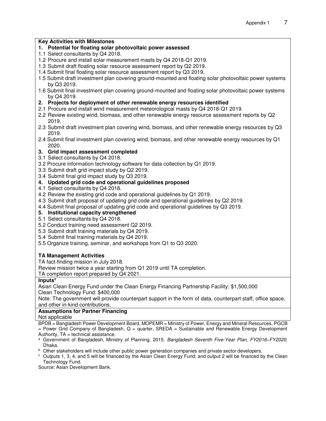### **Key Activities with Milestones**

### **1. Potential for floating solar photovoltaic power assessed**

- 1.1 Select consultants by Q4 2018.
- 1.2 Procure and install solar measurement masts by Q4 2018-Q1 2019.
- 1.3 Submit draft floating solar resource assessment report by Q2 2019.
- 1.4 Submit final floating solar resource assessment report by Q3 2019.
- 1.5 Submit draft investment plan covering ground-mounted and floating solar photovoltaic power systems by Q3 2019.
- 1.6 Submit final investment plan covering ground-mounted and floating solar photovoltaic power systems by Q4 2019.

### **2. Projects for deployment of other renewable energy resources identified**

- 2.1 Procure and install wind measurement meteorological masts by Q4 2018-Q1 2019.
- 2.2 Review existing wind, biomass, and other renewable energy resource assessment reports by Q2 2019.
- 2.3 Submit draft investment plan covering wind, biomass, and other renewable energy resources by Q3 2019.
- 2.4 Submit final investment plan covering wind, biomass, and other renewable energy resources by Q1 2020.

### **3. Grid impact assessment completed**

- 3.1 Select consultants by Q4 2018.
- 3.2 Procure information technology software for data collection by Q1 2019.
- 3.3 Submit draft grid impact study by Q2 2019.
- 3.4 Submit final grid impact study by Q3 2019.

### **4. Updated grid code and operational guidelines proposed**

- 4.1 Select consultants by Q4 2018.
- 4.2 Review the existing grid code and operational guidelines by Q1 2019.
- 4.3 Submit draft proposal of updating grid code and operational guidelines by Q2 2019.
- 4.4 Submit final proposal of updating grid code and operational guidelines by Q3 2019.

### **5. Institutional capacity strengthened**

5.1 Select consultants by Q4 2018.

- 5.2 Conduct training need assessment Q2 2019.
- 5.3 Submit draft training materials by Q4 2019.
- 5.4 Submit final training materials by Q4 2019.
- 5.5 Organize training, seminar, and workshops from Q1 to Q3 2020.

### **TA Management Activities**

TA fact-finding mission in July 2018.

Review mission twice a year starting from Q1 2019 until TA completion.

TA completion report prepared by Q4 2021.

#### **Inputs<sup>c</sup>**

Asian Clean Energy Fund under the Clean Energy Financing Partnership Facility: \$1,500,000 Clean Technology Fund: \$400,000

Note: The government will provide counterpart support in the form of data, counterpart staff, office space, and other in-kind contributions.

### **Assumptions for Partner Financing**

Not applicable

BPDB = Bangladesh Power Development Board, MOPEMR = Ministry of Power, Energy and Mineral Resources, PGCB

 $=$  Power Grid Company of Bangladesh,  $Q =$  quarter, SREDA  $=$  Sustainable and Renewable Energy Development Authority,  $TA = technical assistance$ .

- <sup>a</sup> Government of Bangladesh, Ministry of Planning. 2015. *Bangladesh Seventh Five-Year Plan, FY2016–FY2020.* Dhaka.
- b Other stakeholders will include other public power generation companies and private sector developers.
- $\degree$  Outputs 1, 3, 4, and 5 will be financed by the Asian Clean Energy Fund; and output 2 will be financed by the Clean Technology Fund.

Source: Asian Development Bank.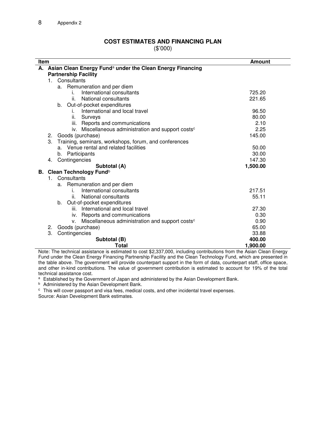## **COST ESTIMATES AND FINANCING PLAN**

(\$'000)

|    | Item<br><b>Amount</b>                                                    |                                                                   |          |
|----|--------------------------------------------------------------------------|-------------------------------------------------------------------|----------|
|    | A. Asian Clean Energy Fund <sup>a</sup> under the Clean Energy Financing |                                                                   |          |
|    | <b>Partnership Facility</b>                                              |                                                                   |          |
|    | $1_{\cdots}$                                                             | Consultants                                                       |          |
|    |                                                                          | Remuneration and per diem<br>а.                                   |          |
|    |                                                                          | International consultants<br>i.                                   | 725.20   |
|    |                                                                          | National consultants<br>ii.                                       | 221.65   |
|    |                                                                          | Out-of-pocket expenditures<br>b.                                  |          |
|    |                                                                          | International and local travel<br>İ.                              | 96.50    |
|    |                                                                          | ii.<br>Surveys                                                    | 80.00    |
|    |                                                                          | iii. Reports and communications                                   | 2.10     |
|    |                                                                          | iv. Miscellaneous administration and support costs <sup>c</sup>   | 2.25     |
|    | 2.                                                                       | Goods (purchase)                                                  | 145.00   |
|    | 3.                                                                       | Training, seminars, workshops, forum, and conferences             |          |
|    |                                                                          | Venue rental and related facilities<br>a.                         | 50.00    |
|    |                                                                          | b. Participants                                                   | 30.00    |
|    | 4.                                                                       | Contingencies                                                     | 147.30   |
|    |                                                                          | Subtotal (A)                                                      | 1,500.00 |
| В. |                                                                          | Clean Technology Fund <sup>b</sup>                                |          |
|    | $1_{-}$                                                                  | Consultants                                                       |          |
|    |                                                                          | Remuneration and per diem<br>a.                                   |          |
|    |                                                                          | International consultants                                         | 217.51   |
|    |                                                                          | National consultants<br>ii.                                       | 55.11    |
|    |                                                                          | b.<br>Out-of-pocket expenditures                                  |          |
|    |                                                                          | International and local travel<br>iii.                            | 27.30    |
|    |                                                                          | iv. Reports and communications                                    | 0.30     |
|    |                                                                          | Miscellaneous administration and support costs <sup>c</sup><br>v. | 0.90     |
|    | 2.                                                                       | Goods (purchase)                                                  | 65.00    |
|    | 3.                                                                       | Contingencies                                                     | 33.88    |
|    |                                                                          | Subtotal (B)                                                      | 400.00   |
|    |                                                                          | Total                                                             | 1,900.00 |

Note: The technical assistance is estimated to cost \$2,337,000, including contributions from the Asian Clean Energy Fund under the Clean Energy Financing Partnership Facility and the Clean Technology Fund, which are presented in the table above. The government will provide counterpart support in the form of data, counterpart staff, office space, and other in-kind contributions. The value of government contribution is estimated to account for 19% of the total technical assistance cost.

a Established by the Government of Japan and administered by the Asian Development Bank.

<sup>b</sup> Administered by the Asian Development Bank.

 $\degree$  This will cover passport and visa fees, medical costs, and other incidental travel expenses.

Source: Asian Development Bank estimates.